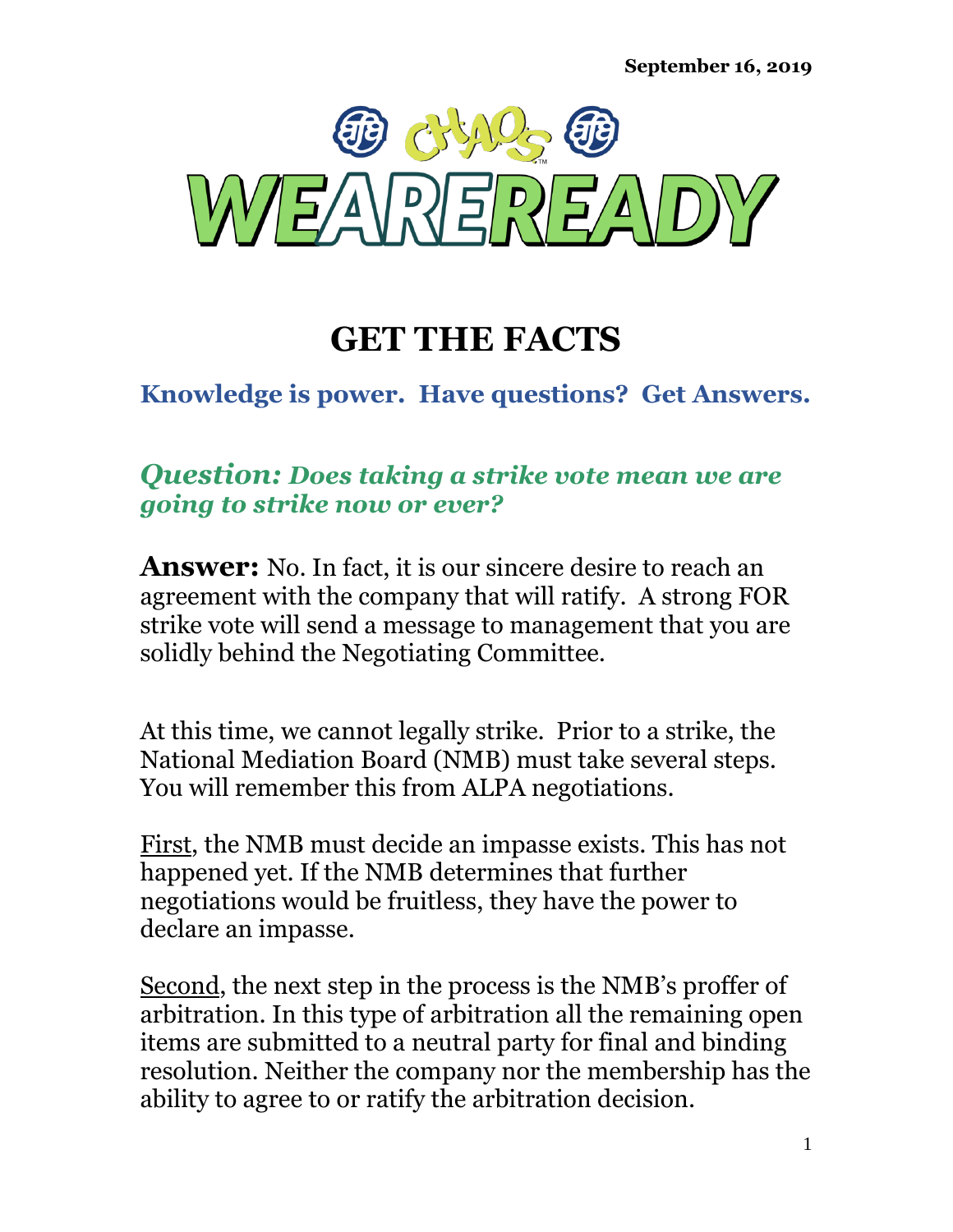

# **GET THE FACTS**

### **Knowledge is power. Have questions? Get Answers.**

#### *Question: Does taking a strike vote mean we are going to strike now or ever?*

**Answer:** No. In fact, it is our sincere desire to reach an agreement with the company that will ratify. A strong FOR strike vote will send a message to management that you are solidly behind the Negotiating Committee.

At this time, we cannot legally strike. Prior to a strike, the National Mediation Board (NMB) must take several steps. You will remember this from ALPA negotiations.

First, the NMB must decide an impasse exists. This has not happened yet. If the NMB determines that further negotiations would be fruitless, they have the power to declare an impasse.

Second, the next step in the process is the NMB's proffer of arbitration. In this type of arbitration all the remaining open items are submitted to a neutral party for final and binding resolution. Neither the company nor the membership has the ability to agree to or ratify the arbitration decision.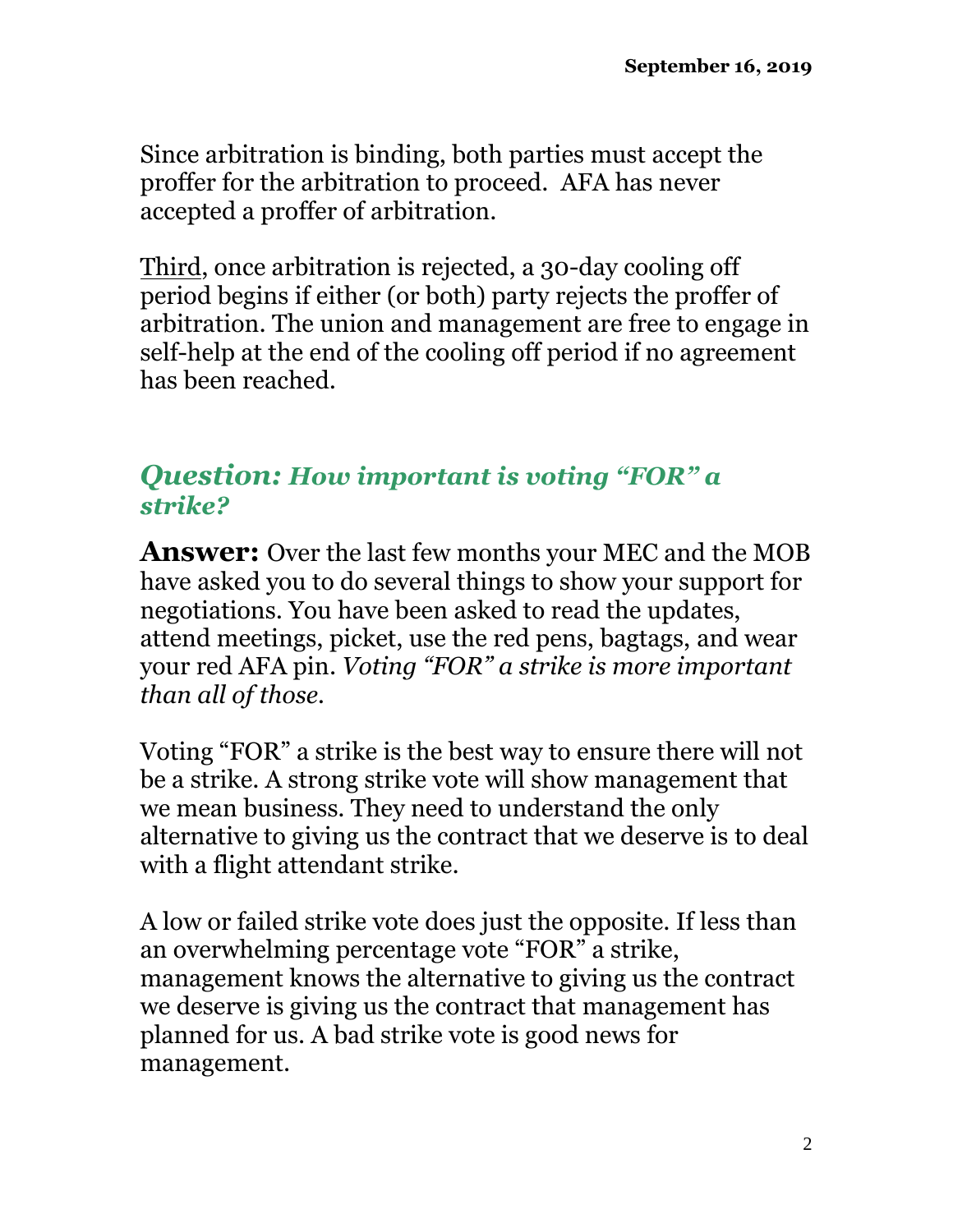Since arbitration is binding, both parties must accept the proffer for the arbitration to proceed. AFA has never accepted a proffer of arbitration.

Third, once arbitration is rejected, a 30-day cooling off period begins if either (or both) party rejects the proffer of arbitration. The union and management are free to engage in self-help at the end of the cooling off period if no agreement has been reached.

#### *Question: How important is voting "FOR" a strike?*

**Answer:** Over the last few months your MEC and the MOB have asked you to do several things to show your support for negotiations. You have been asked to read the updates, attend meetings, picket, use the red pens, bagtags, and wear your red AFA pin. *Voting "FOR" a strike is more important than all of those.*

Voting "FOR" a strike is the best way to ensure there will not be a strike. A strong strike vote will show management that we mean business. They need to understand the only alternative to giving us the contract that we deserve is to deal with a flight attendant strike.

A low or failed strike vote does just the opposite. If less than an overwhelming percentage vote "FOR" a strike, management knows the alternative to giving us the contract we deserve is giving us the contract that management has planned for us. A bad strike vote is good news for management.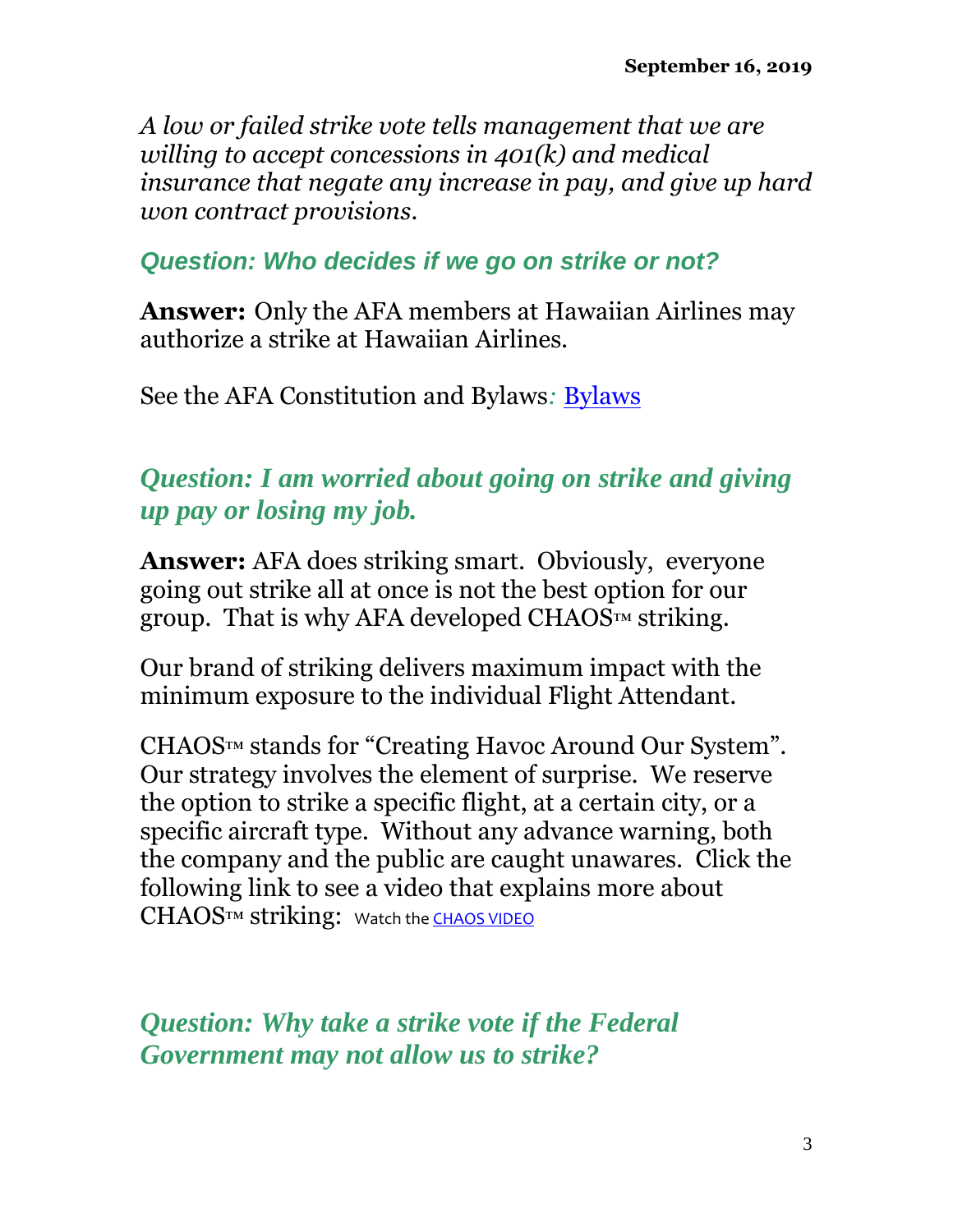*A low or failed strike vote tells management that we are willing to accept concessions in 401(k) and medical insurance that negate any increase in pay, and give up hard won contract provisions.* 

*Question: Who decides if we go on strike or not?*

**Answer:** Only the AFA members at Hawaiian Airlines may authorize a strike at Hawaiian Airlines.

See the AFA Constitution and [Bylaws](http://cdn.afacwa.org/docs/afa/afa-cb-2018.pdf): **Bylaws** 

## *Question: I am worried about going on strike and giving up pay or losing my job.*

**Answer:** AFA does striking smart. Obviously, everyone going out strike all at once is not the best option for our group. That is why AFA developed CHAOS™ striking.

Our brand of striking delivers maximum impact with the minimum exposure to the individual Flight Attendant.

CHAOS™ stands for "Creating Havoc Around Our System". Our strategy involves the element of surprise. We reserve the option to strike a specific flight, at a certain city, or a specific aircraft type. Without any advance warning, both the company and the public are caught unawares. Click the following link to see a video that explains more about CHAOS™ striking: Watch th[e CHAOS VIDEO](https://www.youtube.com/watch?v=6K2tL2sSpA4)

*Question: Why take a strike vote if the Federal Government may not allow us to strike?*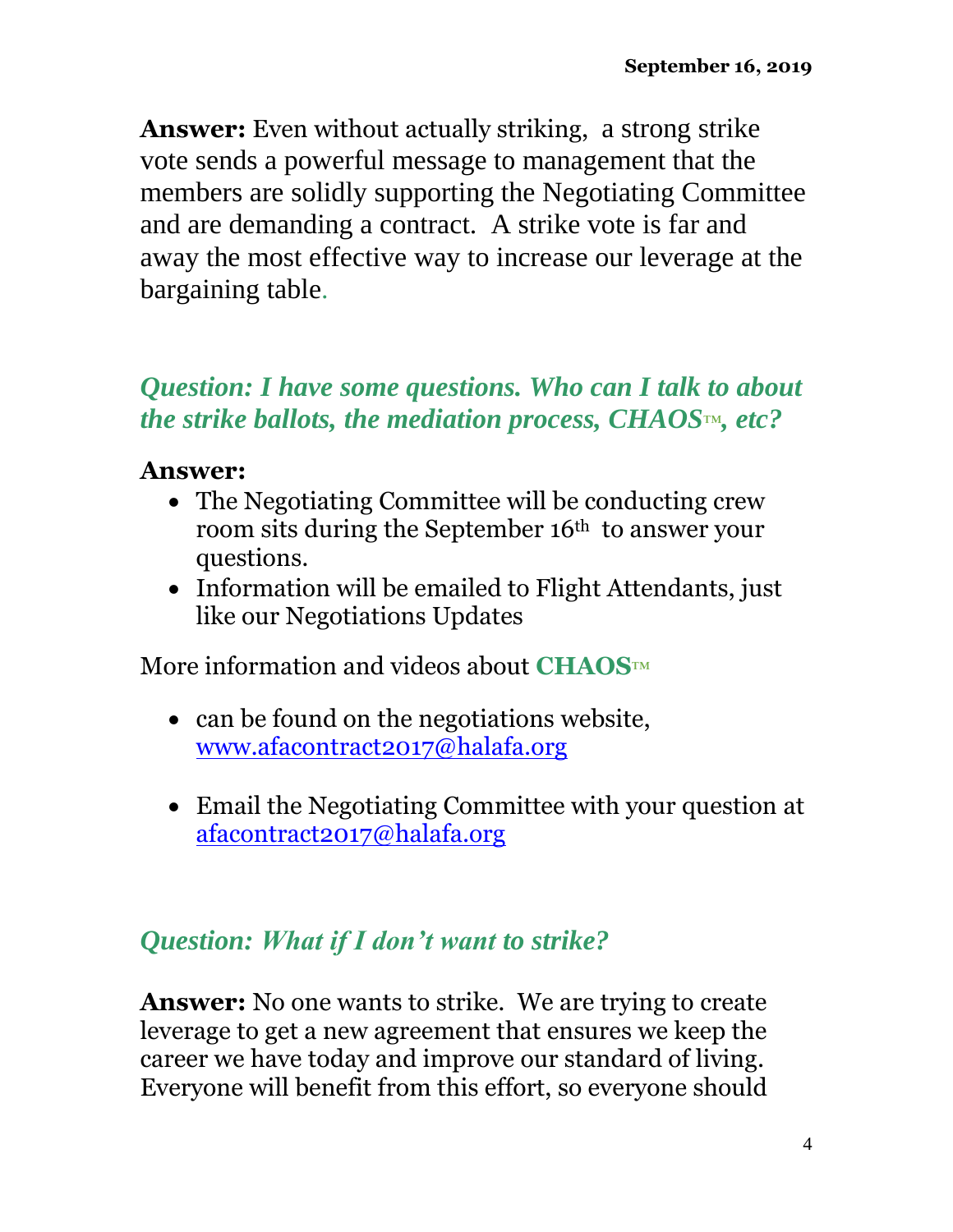**Answer:** Even without actually striking, a strong strike vote sends a powerful message to management that the members are solidly supporting the Negotiating Committee and are demanding a contract. A strike vote is far and away the most effective way to increase our leverage at the bargaining table.

### *Question: I have some questions. Who can I talk to about the strike ballots, the mediation process, CHAOS*™*, etc?*

#### **Answer:**

- The Negotiating Committee will be conducting crew room sits during the September 16<sup>th</sup> to answer your questions.
- Information will be emailed to Flight Attendants, just like our Negotiations Updates

More information and videos about **CHAOS**™

- can be found on the negotiations website, [www.afacontract2017@halafa.org](http://www.afacontract2017@halafa.org/)
- Email the Negotiating Committee with your question at [afacontract2017@halafa.org](mailto:afacontract2017@halafa.org)

## *Question: What if I don't want to strike?*

**Answer:** No one wants to strike. We are trying to create leverage to get a new agreement that ensures we keep the career we have today and improve our standard of living. Everyone will benefit from this effort, so everyone should